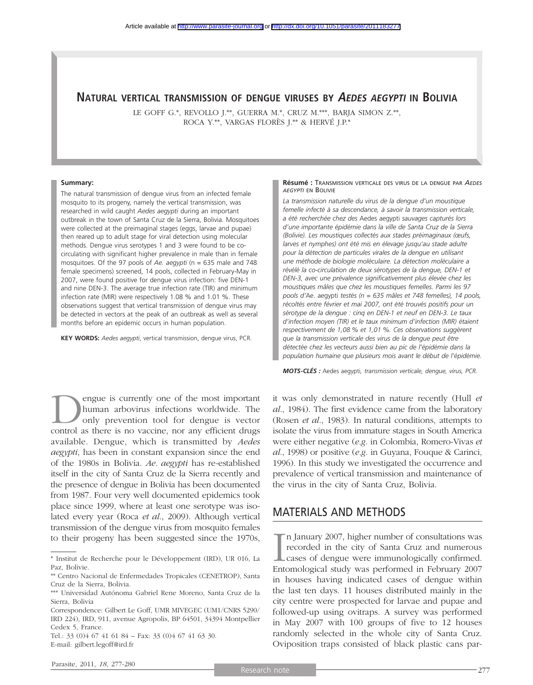## **NATURAL VERTICAL TRANSMISSION OF DENGUE VIRUSES BY AEDES AEGYPTI IN BOLIVIA**

LE GOFF G.\*, REVOLLO J.\*\*, GUERRA M.\*, CRUZ M.\*\*\*, BARJA SIMON Z.\*\*, ROCA Y.\*\*, VARGAS FLORÈS J.\*\* & HERVÉ J.P.\*

#### **Summary:**

The natural transmission of dengue virus from an infected female mosquito to its progeny, namely the vertical transmission, was researched in wild caught *Aedes aegypti* during an important outbreak in the town of Santa Cruz de la Sierra, Bolivia. Mosquitoes were collected at the preimaginal stages (eggs, larvae and pupae) then reared up to adult stage for viral detection using molecular methods. Dengue virus serotypes 1 and 3 were found to be cocirculating with significant higher prevalence in male than in female mosquitoes. Of the 97 pools of *Ae. aegypti* (n = 635 male and 748 female specimens) screened, 14 pools, collected in February-May in 2007, were found positive for dengue virus infection: five DEN-1 and nine DEN-3. The average true infection rate (TIR) and minimum infection rate (MIR) were respectively 1.08 % and 1.01 %. These observations suggest that vertical transmission of dengue virus may be detected in vectors at the peak of an outbreak as well as several months before an epidemic occurs in human population.

**KEY WORDS:** *Aedes aegypti*, vertical transmission, dengue virus, PCR.

**D** engue is currently one of the most important<br>human arbovirus infections worldwide. The<br>only prevention tool for dengue is vector<br>control as there is no vaccine nor any efficient drugs human arbovirus infections worldwide. The only prevention tool for dengue is vector control as there is no vaccine, nor any efficient drugs available. Dengue, which is transmitted by *Aedes aegypti*, has been in constant expansion since the end of the 1980s in Bolivia. *Ae. aegypti* has re-established itself in the city of Santa Cruz de la Sierra recently and the presence of dengue in Bolivia has been documented from 1987. Four very well documented epidemics took place since 1999, where at least one serotype was isolated every year (Roca *et al*., 2009). Although vertical transmission of the dengue virus from mosquito females to their progeny has been suggested since the 1970s,

#### **Résumé :** TRANSMISSION VERTICALE DES VIRUS DE LA DENGUE PAR *AEDES AEGYPTI* EN BOLIVIE

*La transmission naturelle du virus de la dengue d'un moustique femelle infecté à sa descendance, à savoir la transmission verticale, a été recherchée chez des* Aedes aegypti *sauvages capturés lors d'une importante épidémie dans la ville de Santa Cruz de la Sierra (Bolivie). Les moustiques collectés aux stades préimaginaux (œufs, larves et nymphes) ont été mis en élevage jusqu'au stade adulte pour la détection de particules virales de la dengue en utilisant une méthode de biologie moléculaire. La détection moléculaire a révélé la co-circulation de deux sérotypes de la dengue, DEN-1 et DEN-3, avec une prévalence significativement plus élevée chez les moustiques mâles que chez les moustiques femelles. Parmi les 97 pools d'*Ae. aegypti *testés (n = 635 mâles et 748 femelles), 14 pools, récoltés entre février et mai 2007, ont été trouvés positifs pour un sérotype de la dengue : cinq en DEN-1 et neuf en DEN-3. Le taux d'infection moyen (TIR) et le taux minimum d'infection (MIR) étaient respectivement de 1,08 % et 1,01 %. Ces observations suggèrent que la transmission verticale des virus de la dengue peut être détectée chez les vecteurs aussi bien au pic de l'épidémie dans la population humaine que plusieurs mois avant le début de l'épidémie.*

*MOTS-CLÉS :* Aedes aegypti*, transmission verticale, dengue, virus, PCR.*

it was only demonstrated in nature recently (Hull *et al*., 1984). The first evidence came from the laboratory (Rosen *et al*., 1983). In natural conditions, attempts to isolate the virus from immature stages in South America were either negative (*e.g.* in Colombia, Romero-Vivas *et al*., 1998) or positive (*e.g.* in Guyana, Fouque & Carinci, 1996). In this study we investigated the occurrence and prevalence of vertical transmission and maintenance of the virus in the city of Santa Cruz, Bolivia.

#### MATERIALS AND METHODS

In January 2007, higher number of consultations was<br>recorded in the city of Santa Cruz and numerous<br>cases of dengue were immunologically confirmed.<br>Entomological study was performed in February 2007  $\blacksquare$  n January 2007, higher number of consultations was recorded in the city of Santa Cruz and numerous **L** cases of dengue were immunologically confirmed. in houses having indicated cases of dengue within the last ten days. 11 houses distributed mainly in the city centre were prospected for larvae and pupae and followed-up using ovitraps. A survey was performed in May 2007 with 100 groups of five to 12 houses randomly selected in the whole city of Santa Cruz. Oviposition traps consisted of black plastic cans par-

<sup>\*</sup> Institut de Recherche pour le Développement (IRD), UR 016, La Paz, Bolivie.

<sup>\*\*</sup> Centro Nacional de Enfermedades Tropicales (CENETROP), Santa Cruz de la Sierra, Bolivia.

<sup>\*\*\*</sup> Universidad Autónoma Gabriel Rene Moreno, Santa Cruz de la Sierra, Bolivia

Correspondence: Gilbert Le Goff, UMR MIVEGEC (UM1/CNRS 5290/ IRD 224), IRD, 911, avenue Agropolis, BP 64501, 34394 Montpellier Cedex 5, France.

Tel.: 33 (0)4 67 41 61 84 – Fax: 33 (0)4 67 41 63 30. E-mail: gilbert.legoff@ird.fr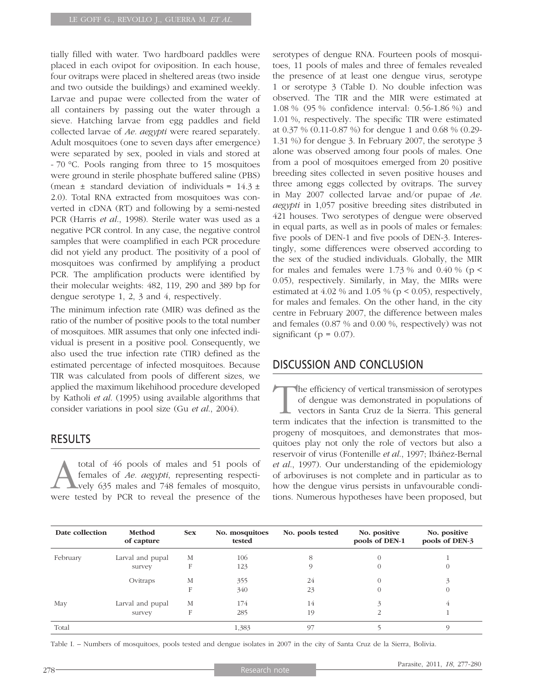tially filled with water. Two hardboard paddles were placed in each ovipot for oviposition. In each house, four ovitraps were placed in sheltered areas (two inside and two outside the buildings) and examined weekly. Larvae and pupae were collected from the water of all containers by passing out the water through a sieve. Hatching larvae from egg paddles and field collected larvae of *Ae. aegypti* were reared separately. Adult mosquitoes (one to seven days after emergence) were separated by sex, pooled in vials and stored at - 70 °C. Pools ranging from three to 15 mosquitoes were ground in sterile phosphate buffered saline (PBS) (mean  $\pm$  standard deviation of individuals = 14.3  $\pm$ 2.0). Total RNA extracted from mosquitoes was converted in cDNA (RT) and following by a semi-nested PCR (Harris *et al*., 1998). Sterile water was used as a negative PCR control. In any case, the negative control samples that were coamplified in each PCR procedure did not yield any product. The positivity of a pool of mosquitoes was confirmed by amplifying a product PCR. The amplification products were identified by their molecular weights: 482, 119, 290 and 389 bp for dengue serotype 1, 2, 3 and 4, respectively.

The minimum infection rate (MIR) was defined as the ratio of the number of positive pools to the total number of mosquitoes. MIR assumes that only one infected individual is present in a positive pool. Consequently, we also used the true infection rate (TIR) defined as the estimated percentage of infected mosquitoes. Because TIR was calculated from pools of different sizes, we applied the maximum likehihood procedure developed by Katholi *et al*. (1995) using available algorithms that consider variations in pool size (Gu *et al*., 2004).

## RESULTS

total of 46 pools of males and 51 pools of females of *Ae. aegypti*, representing respectively 635 males and 748 females of mosquito, were tested by PCR to reveal the presence of the serotypes of dengue RNA. Fourteen pools of mosquitoes, 11 pools of males and three of females revealed the presence of at least one dengue virus, serotype 1 or serotype 3 (Table I). No double infection was observed. The TIR and the MIR were estimated at 1.08 % (95 % confidence interval: 0.56-1.86 %) and 1.01 %, respectively. The specific TIR were estimated at 0.37 % (0.11-0.87 %) for dengue 1 and 0.68 % (0.29- 1.31 %) for dengue 3. In February 2007, the serotype 3 alone was observed among four pools of males. One from a pool of mosquitoes emerged from 20 positive breeding sites collected in seven positive houses and three among eggs collected by ovitraps. The survey in May 2007 collected larvae and/or pupae of *Ae. aegypti* in 1,057 positive breeding sites distributed in 421 houses. Two serotypes of dengue were observed in equal parts, as well as in pools of males or females: five pools of DEN-1 and five pools of DEN-3. Interestingly, some differences were observed according to the sex of the studied individuals. Globally, the MIR for males and females were 1.73 % and 0.40 % ( $p <$ 0.05), respectively. Similarly, in May, the MIRs were estimated at  $4.02\%$  and  $1.05\%$  (p < 0.05), respectively, for males and females. On the other hand, in the city centre in February 2007, the difference between males and females (0.87 % and 0.00 %, respectively) was not significant ( $p = 0.07$ ).

## DISCUSSION AND CONCLUSION

The efficiency of vertical transmission of serotypes of dengue was demonstrated in populations of vectors in Santa Cruz de la Sierra. This general term indicates that the infection is transmitted to the progeny of mosquitoes, and demonstrates that mosquitoes play not only the role of vectors but also a reservoir of virus (Fontenille *et al*., 1997; Ibáñez-Bernal *et al*., 1997). Our understanding of the epidemiology of arboviruses is not complete and in particular as to how the dengue virus persists in unfavourable conditions. Numerous hypotheses have been proposed, but

| Date collection | Method<br>of capture | <b>Sex</b> | No. mosquitoes<br>tested | No. pools tested | No. positive<br>pools of DEN-1 | No. positive<br>pools of DEN-3 |
|-----------------|----------------------|------------|--------------------------|------------------|--------------------------------|--------------------------------|
| February        | Larval and pupal     | М          | 106                      | 8                |                                |                                |
|                 | survey               | F          | 123                      |                  |                                | $\theta$                       |
|                 | Ovitraps             | M          | 355                      | 24               |                                |                                |
|                 |                      | F          | 340                      | 23               |                                | $\Omega$                       |
| May             | Larval and pupal     | М          | 174                      | 14               |                                | 4                              |
|                 | survey               | F          | 285                      | 19               |                                |                                |
| Total           |                      |            | 1,383                    | 97               |                                |                                |

Table I. – Numbers of mosquitoes, pools tested and dengue isolates in 2007 in the city of Santa Cruz de la Sierra, Bolivia.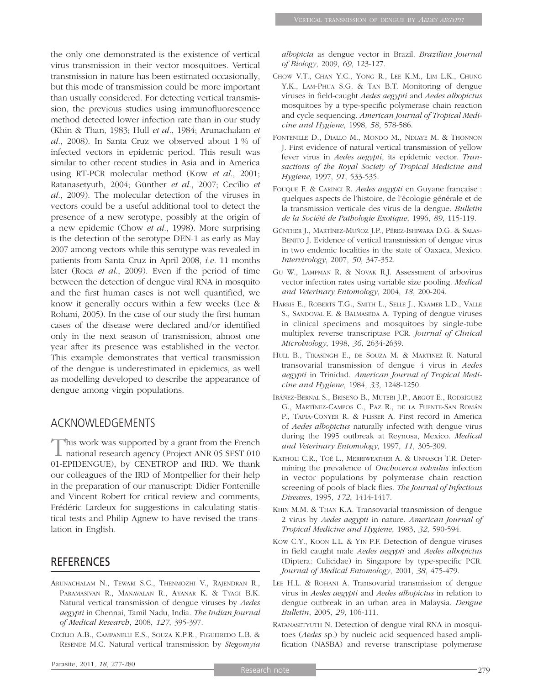the only one demonstrated is the existence of vertical virus transmission in their vector mosquitoes. Vertical transmission in nature has been estimated occasionally, but this mode of transmission could be more important than usually considered. For detecting vertical transmission, the previous studies using immunofluorescence method detected lower infection rate than in our study (Khin & Than, 1983; Hull *et al*., 1984; Arunachalam *et al*., 2008). In Santa Cruz we observed about 1 % of infected vectors in epidemic period. This result was similar to other recent studies in Asia and in America using RT-PCR molecular method (Kow *et al*., 2001; Ratanasetyuth, 2004; Günther *et al*., 2007; Cecílio *et al*., 2009). The molecular detection of the viruses in vectors could be a useful additional tool to detect the presence of a new serotype, possibly at the origin of a new epidemic (Chow *et al*., 1998). More surprising is the detection of the serotype DEN-1 as early as May 2007 among vectors while this serotype was revealed in patients from Santa Cruz in April 2008, *i.e.* 11 months later (Roca *et al*., 2009). Even if the period of time between the detection of dengue viral RNA in mosquito and the first human cases is not well quantified, we know it generally occurs within a few weeks (Lee & Rohani, 2005). In the case of our study the first human cases of the disease were declared and/or identified only in the next season of transmission, almost one year after its presence was established in the vector. This example demonstrates that vertical transmission of the dengue is underestimated in epidemics, as well as modelling developed to describe the appearance of dengue among virgin populations.

# ACKNOWLEDGEMENTS

This work was supported by a grant from the French ■ national research agency (Project ANR 05 SEST 010 01-EPIDENGUE), by CENETROP and IRD. We thank our colleagues of the IRD of Montpellier for their help in the preparation of our manuscript: Didier Fontenille and Vincent Robert for critical review and comments, Frédéric Lardeux for suggestions in calculating statistical tests and Philip Agnew to have revised the translation in English.

# REFERENCES

- ARUNACHALAM N., TEWARI S.C., THENMOZHI V., RAJENDRAN R., PARAMASIVAN R., MANAVALAN R., AYANAR K. & TYAGI B.K. Natural vertical transmission of dengue viruses by *Aedes aegypti* in Chennai, Tamil Nadu, India. *The Indian Journal of Medical Research*, 2008, *127*, 395-397.
- CECÍLIO A.B., CAMPANELLI E.S., SOUZA K.P.R., FIGUEIREDO L.B. & RESENDE M.C. Natural vertical transmission by *Stegomyia*

*albopicta* as dengue vector in Brazil. *Brazilian Journal of Biology*, 2009, *69*, 123-127.

- CHOW V.T., CHAN Y.C., YONG R., LEE K.M., LIM L.K., CHUNG Y.K., LAM-PHUA S.G. & TAN B.T. Monitoring of dengue viruses in field-caught *Aedes aegypti* and *Aedes albopictus* mosquitoes by a type-specific polymerase chain reaction and cycle sequencing. *American Journal of Tropical Medicine and Hygiene*, 1998, *58*, 578-586.
- FONTENILLE D., DIALLO M., MONDO M., NDIAYE M. & THONNON J. First evidence of natural vertical transmission of yellow fever virus in *Aedes aegypti*, its epidemic vector. *Transactions of the Royal Society of Tropical Medicine and Hygiene*, 1997, *91*, 533-535.
- FOUQUE F. & CARINCI R. *Aedes aegypti* en Guyane française : quelques aspects de l'histoire, de l'écologie générale et de la transmission verticale des virus de la dengue. *Bulletin de la Société de Pathologie Exotique*, 1996, *89*, 115-119.
- GÜNTHER J., MARTÍNEZ-MUÑOZ J.P., PÉREZ-ISHIWARA D.G. & SALAS-BENITO J. Evidence of vertical transmission of dengue virus in two endemic localities in the state of Oaxaca, Mexico. *Intervirology*, 2007, *50*, 347-352.
- GU W., LAMPMAN R. & NOVAK R.J. Assessment of arbovirus vector infection rates using variable size pooling. *Medical and Veterinary Entomology*, 2004, *18*, 200-204.
- HARRIS E., ROBERTS T.G., SMITH L., SELLE J., KRAMER L.D., VALLE S., SANDOVAL E. & BALMASEDA A. Typing of dengue viruses in clinical specimens and mosquitoes by single-tube multiplex reverse transcriptase PCR. *Journal of Clinical Microbiology*, 1998, *36*, 2634-2639.
- HULL B., TIKASINGH E., DE SOUZA M. & MARTINEZ R. Natural transovarial transmission of dengue 4 virus in *Aedes aegypti* in Trinidad. *American Journal of Tropical Medicine and Hygiene*, 1984, *33*, 1248-1250.
- IBÁÑEZ-BERNAL S., BRISEÑO B., MUTEBI J.P., ARGOT E., RODRÍGUEZ G., MARTÍNEZ-CAMPOS C., PAZ R., DE LA FUENTE-SAN ROMÁN P., TAPIA-CONYER R. & FLISSER A. First record in America of *Aedes albopictus* naturally infected with dengue virus during the 1995 outbreak at Reynosa, Mexico. *Medical and Veterinary Entomology*, 1997, *11*, 305-309.
- KATHOLI C.R., TOÉ L., MERRIWEATHER A. & UNNASCH T.R. Determining the prevalence of *Onchocerca volvulus* infection in vector populations by polymerase chain reaction screening of pools of black flies. *The Journal of Infectious Diseases*, 1995, *172*, 1414-1417.
- KHIN M.M. & THAN K.A. Transovarial transmission of dengue 2 virus by *Aedes aegypti* in nature. *American Journal of Tropical Medicine and Hygiene*, 1983, *32*, 590-594.
- KOW C.Y., KOON L.L. & YIN P.F. Detection of dengue viruses in field caught male *Aedes aegypti* and *Aedes albopictus* (Diptera: Culicidae) in Singapore by type-specific PCR. *Journal of Medical Entomology*, 2001, *38*, 475-479.
- LEE H.L. & ROHANI A. Transovarial transmission of dengue virus in *Aedes aegypti* and *Aedes albopictus* in relation to dengue outbreak in an urban area in Malaysia. *Dengue Bulletin*, 2005, *29*, 106-111.
- RATANASETYUTH N. Detection of dengue viral RNA in mosquitoes (*Aedes* sp.) by nucleic acid sequenced based amplification (NASBA) and reverse transcriptase polymerase